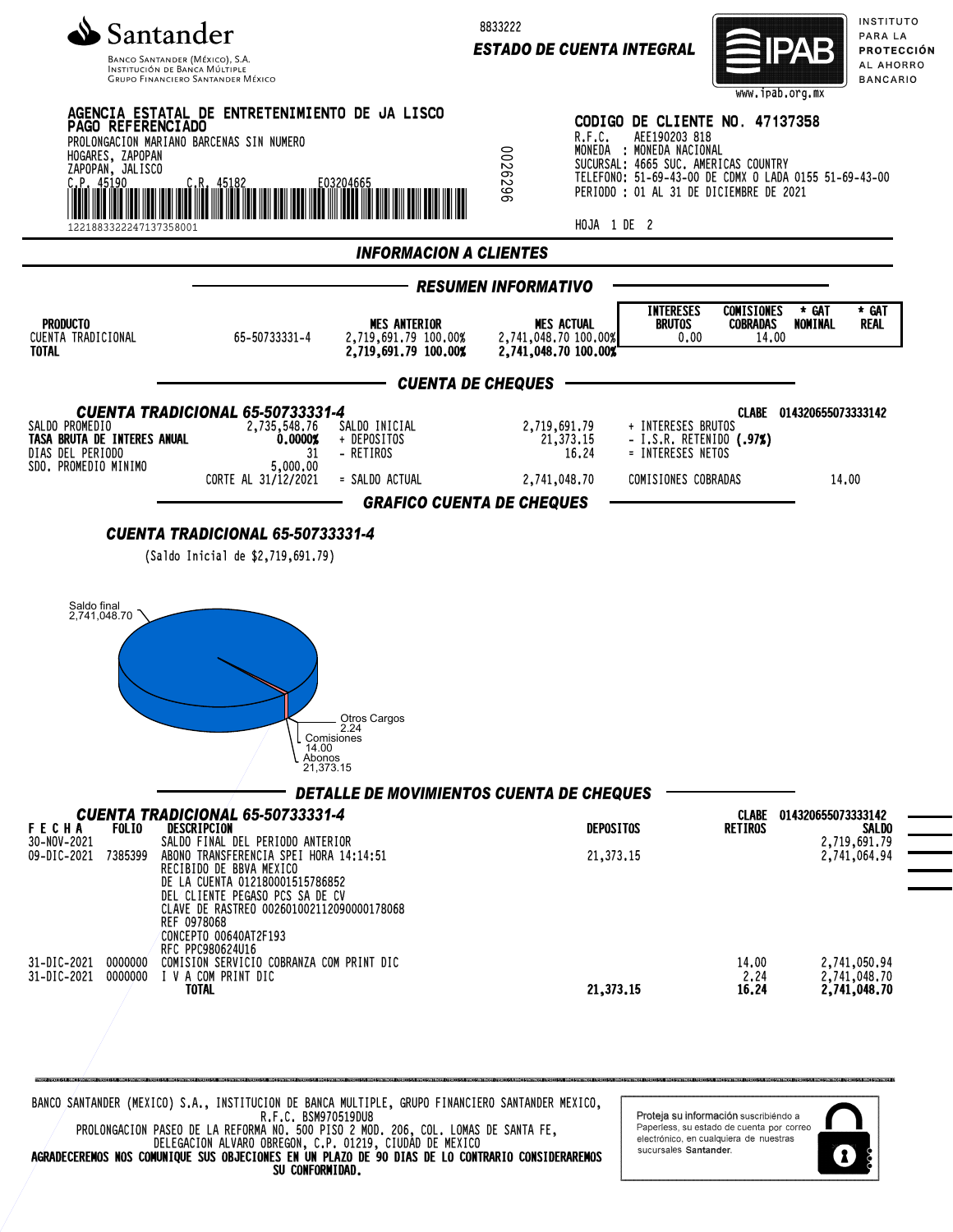

INSTITUCIÓN DE BANCA MÚLTIP **GRUPO FINANCIERO SANTANDER MÉXICO**  8833222

*ESTADO DE CUENTA INTEGRAL*



INSTITUTO PARA LA PROTECCIÓN AL AHORRO **BANCARIO** 



BANCO SANTANDER (MEXICO) S.A., INSTITUCION DE BANCA MULTIPLE, GRUPO FINANCIERO SANTANDER MEXICO, R.F.C. BSM970519DU8 PROLONGACION PASEO DE LA REFORMA NO. 500 PISO 2 MOD. 206, COL. LOMAS DE SANTA FE, DELEGACION ALVARO OBREGON, C.P. 01219, CIUDAD DE MEXICO

AGRADECEREMOS NOS COMUNIQUE SUS OBJECIONES EN UN PLAZO DE 90 DIAS DE LO CONTRARIO CONSIDERAREMOS SU CONFORMIDAD.

Proteja su información suscribiéndo a Paperless, su estado de cuenta por correo electrónico, en cualquiera de nuestras sucursales Santander.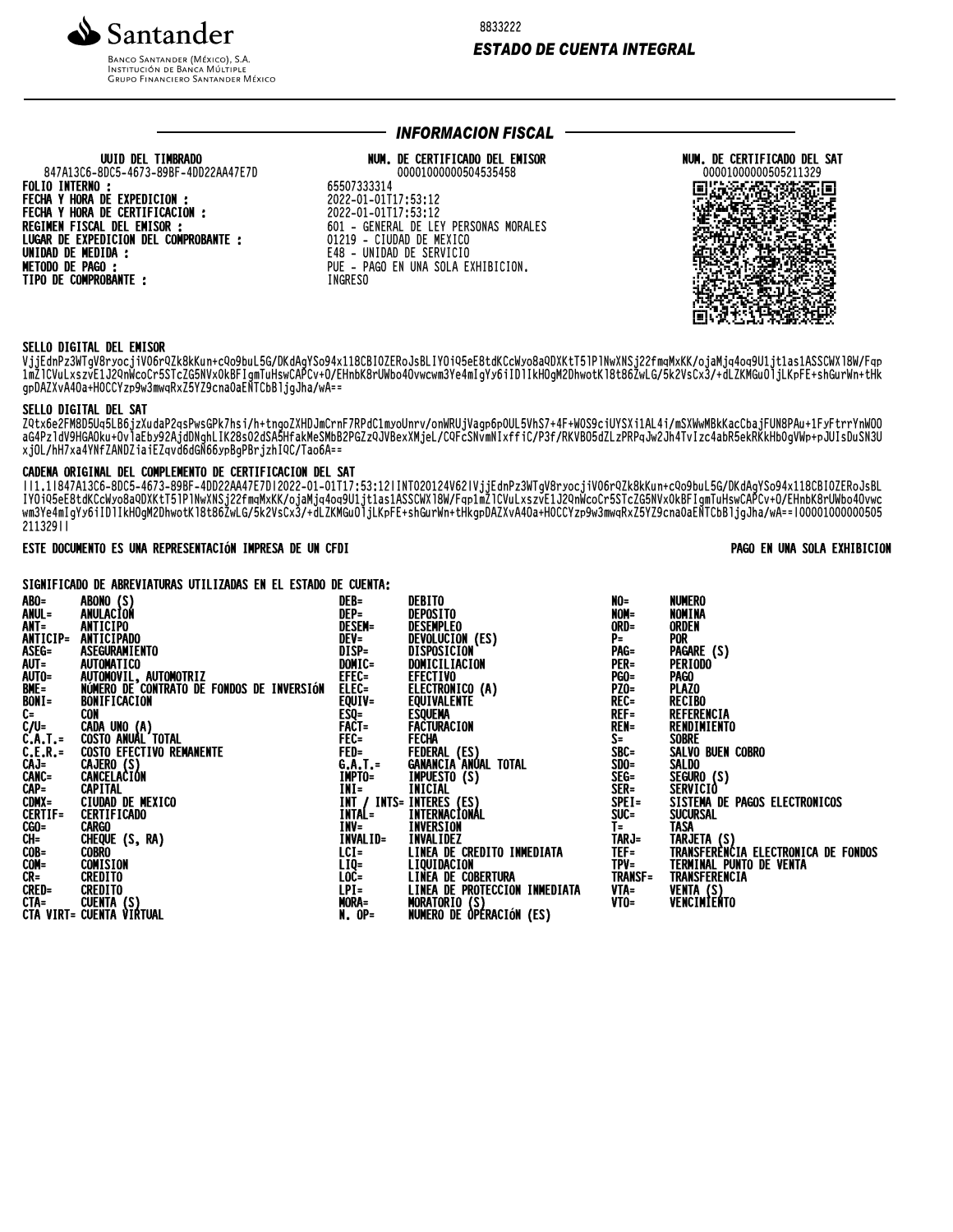

UUID DEL TIMBRADO

847A13C6-8DC5-4673-89BF-4DD22AA47E7D

FECHA Y HORA DE EXPEDICION :<br>FECHA Y HORA DE CERTIFICACION :

LUGAR DE EXPEDICION DEL COMPROBANTE :

REGIMEN FISCAL DEL EMISOR :

**BANCO SANTANDER (MÉXICO), S.A. INSTITUCIÓN DE BANCA MÚLTIPLE**<br>INSTITUCIÓN DE BANCA MÚLTIPLE<br>GRUPO FINANCIERO SANTANDER MÉXICO 8833222

## **ESTADO DE CUENTA INTEGRAL**

## **INFORMACION FISCAL ·**

# NUM. DE CERTIFICADO DEL EMISOR

00001000000504535458 65507333314 2022-01-01T17:53:12 2022-01-01T17:53:12 601 - GENERAL DE LEY PERSONAS MORALES 01219 - CIUDAD DE MEXICO E48 - UNIDAD DE SERVICIO PUE - PAGO EN UNA SOLA EXHIBICION. **INGRESO** 



#### SELLO DIGITAL DEL EMISOR

**FOLIO INTERNO:** 

**UNIDAD DE MEDIDA :<br>METODO DE PAGO :** 

TIPO DE COMPROBANTE :

VjjEdnPz3WTgV8ryocjiV06rQZk8kKun+cQo9buL5G/DKdAgYSo94x118CBIOZERoJsBLIYOiQ5eE8tdKCcWyo8aQDXKtT51P1NwXNSj22fmqMxKK/ojaMjq4oq9U1jt1as1ASSCWX18W/Fqp : πλιτικές τους διαθέτες τους ανακολούς της προσωπικής τους ανακολούς τους ανακολούς τους ανακολούς τους ανακολούς τ<br>Τω προσωπικών τους προσωπικών τους ανακολούς τους ανακολούς τους ανακολούς τους ανακολούς τους τους ανα

#### SELLO DIGITAL DEL SAT

ZQtx6eZFM8D5Uq5LB6jzXudaP2qsPwsGPk7hsi/h+tngoZXHDJmCrnF7RPdC1myoUnrv/onWRUjVagp6p0UL5VhS7+4F+WOS9ciUYSXi1AL4i/mSXWwMBkKacCbajFUN8PAu+1FyFtrrYnWOO<br>aG4Pz1dV9HGAOku+OvlaEby92AjdDNghLIK28sO2dSA5HfakMeSMbB2PGZzQJVBexXMjeL/CQFcS xjOL/hH7xa4YNfZANDZiaiEZqvd6dGN66ypBgPBrjzhIQC/Tao6A==

#### CADENA ORIGINAL DEL COMPLEMENTO DE CERTIFICACION DEL SAT

WELLIB47A13C6-8DC5-4673-B9BF-4DD22AA47E7D12022-01-01T17:53:12|INT020124V62|VjjEdnPz3WTgV8ryocjiV06rQZk8kKun+cQo9buL5G/DKdAgYSo94x118CBI0ZERoJsBL<br>IYOiQ5eE8tdKCcWyo8aQDXKtT51P1NwXNSj22fmqMxKK/ojaMjq4oq9U1jt1as1ASSCWX18W/Fqp1 21132911

## ESTE DOCUMENTO ES UNA REPRESENTACIÓN IMPRESA DE UN CFDI

PAGO EN UNA SOLA EXHIBICION

### SIGNIFICADO DE ABREVIATURAS UTILIZADAS EN EL ESTADO DE CUENTA:

| ABO=<br>ANUL=<br>ANT=<br>ANTICIP=<br>ASEG=<br><b>AUT=<br/>AUTO=<br/>BME=<br/>BONI=<br/>C-UAT.=<br/>CAT.AT.=<br/>CAT.AT.=<br/>CAT.AT.<br/>CAT.AT.<br/>CAT.AT.F<br/>COMX=</b><br>CERTIF=<br>CGO=<br>CH=<br>COB=<br>COM=<br>CR= | ABONO (S)<br>ANULACION<br>ANTICIPO<br>ANTICIPADO<br>ASEGURAMIENTO<br><b>AUTOMATICO</b><br>AUTOMOVIL, AUTOMOTRIZ<br>NÚMERO DE CONTRATO DE FONDOS DE INVERSIÓN<br>BONIFICACION<br>CON<br>CADA UNO (A)<br>COSTO ANUAL TOTAL<br>COSTO EFECTIVO REMANENTE<br>CAJERO (S)<br>CANCELACION<br>CAPITAL<br>CIUDAD DE MEXICO<br><b>CERTIFICADO</b><br>Cargo<br>CHEQUE (S, RA)<br>COBRO<br>COMISION<br><b>CREDITO</b> | DEB=<br>DEP=<br><b>DESEM=</b><br>DEV=<br>DISP=<br>DOMIC=<br>EFEC=<br>ELEC=<br>EQUIV=<br><b>ESQ=<br/>FACT=<br/>FACT=<br/>FEC=<br/>FED=<br/>G.A.T.=<br/>MPTO=</b><br><b>INV=</b><br>INVALID=<br>$LCI =$<br>LIQ=<br>LOC=<br>$LPI =$<br>MORA= | DEBITO<br>DEPOSITO<br>DESEMPLEO<br>DEVOLUCION (ES)<br>DISPOSICION<br>DOMICILIACION<br><b>EFECTIVO</b><br>ELECTRONICO (A)<br>EQUIVALENTE<br><b>ESQUEMA</b><br>FACTURACION<br><b>FECHA</b><br>FEDERAL (ES)<br>GANANCIA ANUAL TOTAL<br><b>IMPUESTO (S)</b><br>INT=<br>INT / INTS= INTERES (ES)<br>INTAL= INTERNACIONAL<br><b>INVERSION</b><br><b>INVALIDEZ</b><br>LINEA DE CREDITO INMEDIATA<br>LIQUIDACION<br><b>LINEA DE COBERTURA</b><br>LINEA DE PROTECCION INMEDIATA | NO=<br>NOM=<br>ORD=<br>$P=$<br>PAG=<br><b>PER=</b><br><b>PGO=</b><br><b>PZ0=</b><br>REC=<br>$REF=$<br><b>REN=</b><br>$S =$<br>$\bar{\text{S}}\text{BC}$<br>$SDO =$<br>SEG=<br>SER=<br>$SPEI =$<br>SUC=<br>$\overline{1}$<br>TARJ=<br>TEF=<br>TPV=<br><b>TRANSF=</b><br>VTA=<br>VTO= | <b>NUMERO</b><br>NOMINA<br><b>ORDEN</b><br><b>POR</b><br>PAGARE (S)<br><b>PERIODO</b><br><b>PAGO</b><br><b>PLAZO</b><br><b>RECIBO</b><br>REFERENCIA<br>RENDIMIENTO<br><b>SOBRE</b><br>SALVO BUEN COBRO<br>SALDO<br>SEGURO (S)<br>SERVICIÒ<br>SISTEMA DE PAGOS ELECTRONICOS<br><b>SUCURSAL</b><br><b>TASA</b><br>TARJETA (S)<br>TRANSFERENCIA ELECTRONICA DE FONDOS<br><b>TERMINAL PUNTO DE VENTA</b><br>TRANSFERENCIA<br>VENTA (S)<br>VENCIMIENTO |
|------------------------------------------------------------------------------------------------------------------------------------------------------------------------------------------------------------------------------|----------------------------------------------------------------------------------------------------------------------------------------------------------------------------------------------------------------------------------------------------------------------------------------------------------------------------------------------------------------------------------------------------------|-------------------------------------------------------------------------------------------------------------------------------------------------------------------------------------------------------------------------------------------|------------------------------------------------------------------------------------------------------------------------------------------------------------------------------------------------------------------------------------------------------------------------------------------------------------------------------------------------------------------------------------------------------------------------------------------------------------------------|-------------------------------------------------------------------------------------------------------------------------------------------------------------------------------------------------------------------------------------------------------------------------------------|---------------------------------------------------------------------------------------------------------------------------------------------------------------------------------------------------------------------------------------------------------------------------------------------------------------------------------------------------------------------------------------------------------------------------------------------------|
|                                                                                                                                                                                                                              |                                                                                                                                                                                                                                                                                                                                                                                                          | $N. OP =$                                                                                                                                                                                                                                 | MORATOŘÍO (Š)<br>NORATOŘÍO (Š)<br>NUMERO DE OPERACIÓN (ES)                                                                                                                                                                                                                                                                                                                                                                                                             |                                                                                                                                                                                                                                                                                     |                                                                                                                                                                                                                                                                                                                                                                                                                                                   |